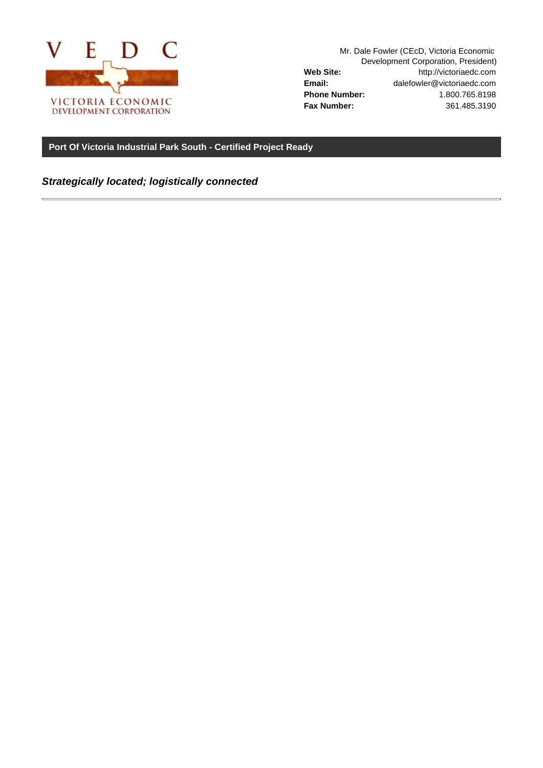

Mr. Dale Fowler (CEcD, Victoria Economic Development Corporation, President) **Web Site:** http://victoriaedc.com **Email:** dalefowler@victoriaedc.com **Phone Number:** 1.800.765.8198 **Fax Number:** 361.485.3190

**Port Of Victoria Industrial Park South - Certified Project Ready**

**Strategically located; logistically connected**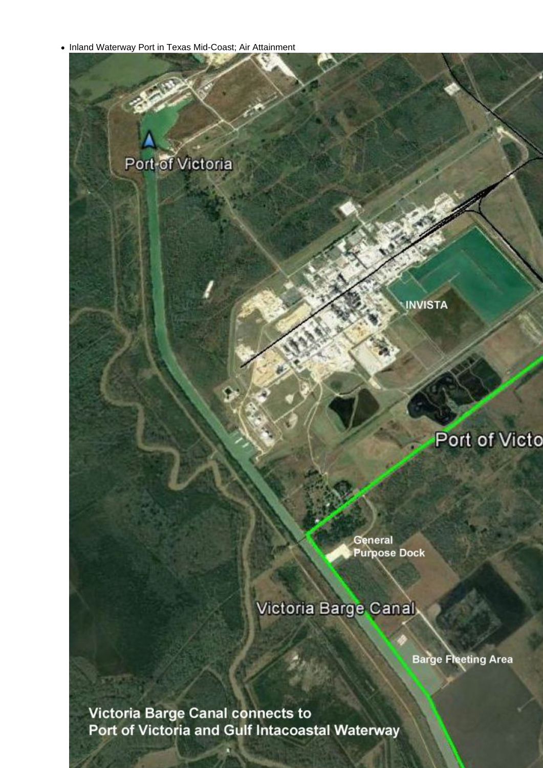• Inland Waterway Port in Texas Mid-Coast; Air Attainment